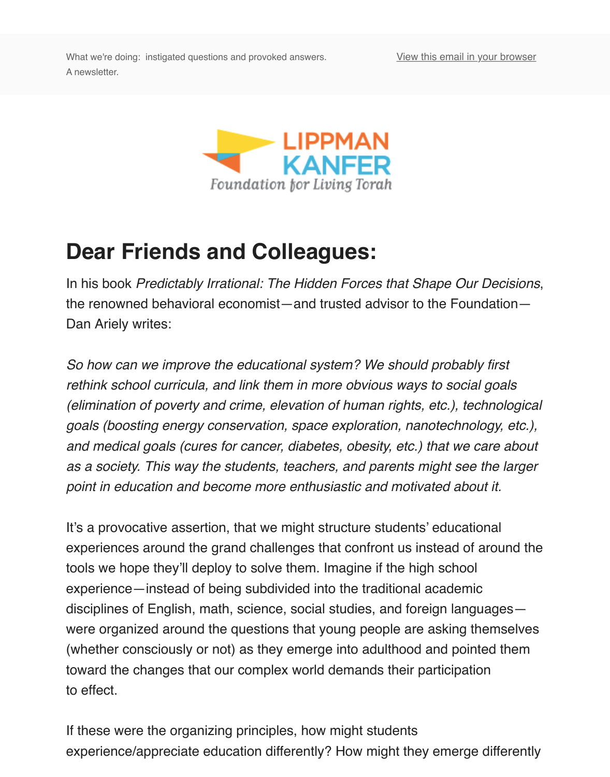

### **Dear Friends and Colleagues:**

In his book *Predictably Irrational: The Hidden Forces that Shape Our Decisi* the renowned behavioral economist—and trusted advisor to the Foundation— Dan Ariely writes:

*So how can we improve the educational system? We should probably first rethink school curricula, and link them in more obvious ways to social goals (elimination of poverty and crime, elevation of human rights, etc.), technological goals (boosting energy conservation, space exploration, nanotechnology, et and medical goals (cures for cancer, diabetes, obesity, etc.) that we care ab as a society. This way the students, teachers, and parents might see the larger point in education and become more enthusiastic and motivated about it.*

It's a provocative assertion, that we might structure students' educational experiences around the grand challenges that confront us instead of around tools we hope they'll deploy to solve them. Imagine if the high school experience—instead of being subdivided into the traditional academic disciplines of English, math, science, social studies, and foreign languages were organized around the questions that young people are asking themsel (whether consciously or not) as they emerge into adulthood and pointed the toward the changes that our complex world demands their participation to effect.

If these were the organizing principles, how might students experience/appreciate education differently? How might they emerge differently?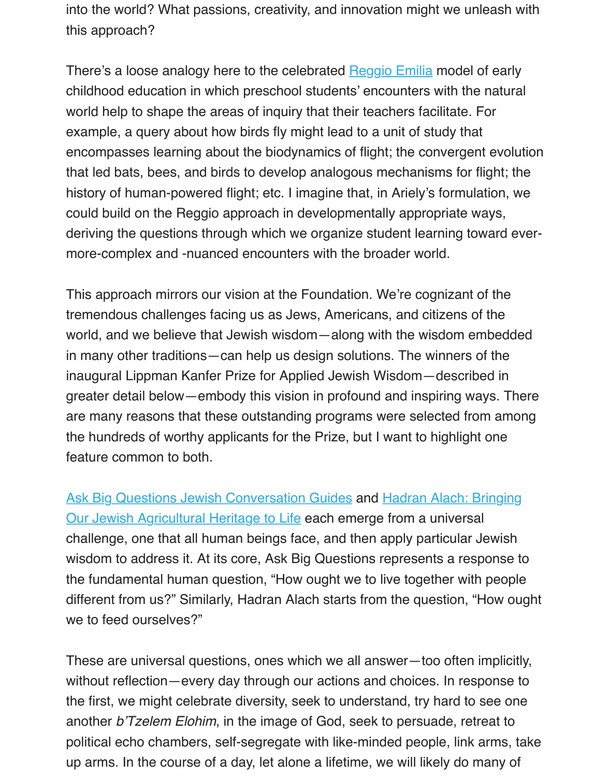world help to shape the areas of inquiry that their teachers facilitate. For example, a query about how birds fly might lead to a unit of study that encompasses learning about the biodynamics of flight; the convergent evolution that led bats, bees, and birds to develop analo[gous mechanis](https://en.wikipedia.org/wiki/Reggio_Emilia_approach)ms for flight; the history of human-powered flight; etc. I imagine that, in Ariely's formulation, v could build on the Reggio approach in developmentally appropriate ways, deriving the questions through which we organize student learning toward e more-complex and -nuanced encounters with the broader world.

This approach mirrors our vision at the Foundation. We're cognizant of the tremendous challenges facing us as Jews, Americans, and citizens of the world, and we believe that Jewish wisdom—along with the wisdom embedd in many other traditions—can help us design solutions. The winners of the inaugural Lippman Kanfer Prize for Applied Jewish Wisdom—described in greater detail below—embody this vision in profound and inspiring ways. The are many reasons that these outstanding programs were selected from amo the hundreds of worthy applicants for the Prize, but I want to highlight one feature common to both.

Ask Big Questions Jewish Conversation Guides and Hadran Alach: Bringing Our Jewish Agricultural Heritage to Life each emerge from a universal challenge, one that all human beings face, and then apply particular Jewish wisdom to address it. At its core, Ask Big Questions represents a response the fundamental human question, "How ought we to live together with peopl [different from us?" Similarly, Hadran Alach start](http://www.askbigquestions.org/)[s from the question, "How ou](http://pearlstonecenter.org/)ght we to feed ourselves?"

These are universal questions, ones which we all answer—too often implicit without reflection—every day through our actions and choices. In response the first, we might celebrate diversity, seek to understand, try hard to see on another *b'Tzelem Elohim*, in the image of God, seek to persuade, retreat to political echo chambers, self-segregate with like-minded people, link arms, t up arms. In the course of a day, let alone a lifetime, we will likely do many of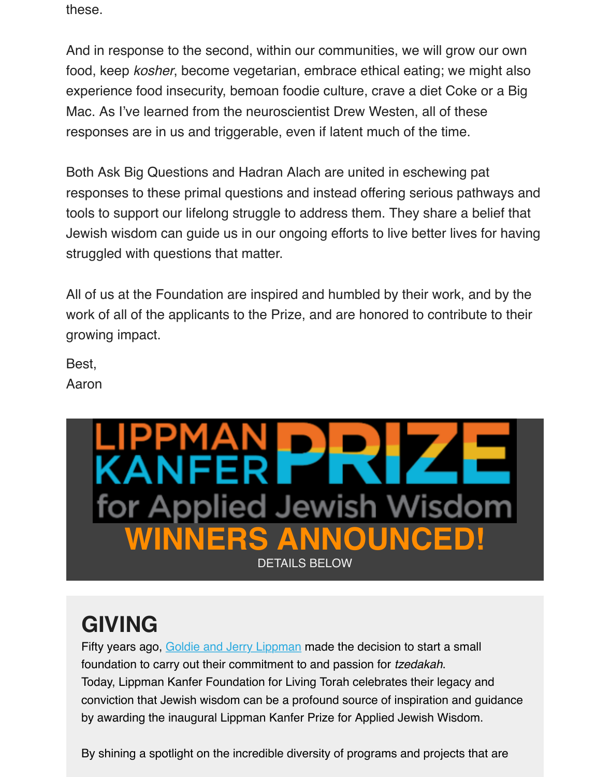Mac. As I've learned from the neuroscientist Drew Westen, all of these responses are in us and triggerable, even if latent much of the time.

Both Ask Big Questions and Hadran Alach are united in eschewing pat responses to these primal questions and instead offering serious pathways tools to support our lifelong struggle to address them. They share a belief the Jewish wisdom can guide us in our ongoing efforts to live better lives for having struggled with questions that matter.

All of us at the Foundation are inspired and humbled by their work, and by the work of all of the applicants to the Prize, and are honored to contribute to the growing impact.

Best,

Aaron



# **GIVING**

Fifty years ago, Goldie and Jerry Lippman made the decision to start a small foundation to carry out their commitment to and passion for *tzedakah*. Today, Lippman Kanfer Foundation for Living Torah celebrates their legacy and conviction that Jewish wisdom can be a profound source of inspiration and guidance by awarding the inaugural Lippman Kanfer Prize for Applied Jewish Wisdom.

By shining a sp[otlight on the incredible div](http://lippmankanferprize.org/about/)ersity of programs and projects that are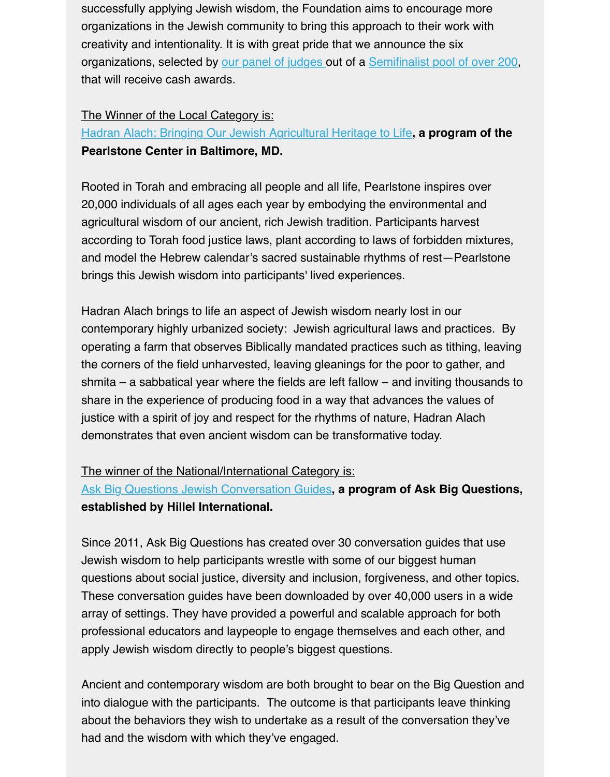#### The Winner of the Local Category is:

Hadran Alach: Bringing Our Jewish Agricultural Heritage to Life**, a program of the Pearlstone Center in Baltimore, MD.** 

Rooted in Torah and embracing all people and all life, Pearlstone inspires over 20,000 individuals of all ages each year by embodying the environmental and agricultural wisdom of our ancient, rich Jewish tradition. Participants harvest [according to Torah food justice laws, plant according to laws of](http://lippmankanferprize.org/profile/?profile=hadran-alach-bringing-our-jewish-agricultural-heritage-to-life&entryid=363) forbidden mixtures, and model the Hebrew calendar's sacred sustainable rhythms of rest—Pearlstone brings this Jewish wisdom into participants' lived experiences.

Hadran Alach brings to life an aspect of Jewish wisdom nearly lost in our contemporary highly urbanized society: Jewish agricultural laws and practices. By operating a farm that observes Biblically mandated practices such as tithing, leaving the corners of the field unharvested, leaving gleanings for the poor to gather, and shmita – a sabbatical year where the fields are left fallow – and inviting thousands to share in the experience of producing food in a way that advances the values of justice with a spirit of joy and respect for the rhythms of nature, Hadran Alach demonstrates that even ancient wisdom can be transformative today.

#### The winner of the National/International Category is:

**Ask Big Questions Jewish Conversation Guides, a program of Ask Big Questions established by Hillel International.** 

Since 2011, Ask Big Questions has created over 30 conversation guides that use Jewish wisdom to help participants wrestle with some of our biggest human questions about social justice, diversity and inclusion, forgiveness, and other topics. [These conversation guides have been download](http://lippmankanferprize.org/profile/?profile=ask-big-questions-jewish-conversation-guides&entryid=941)ed by over 40,000 users in a wide array of settings. They have provided a powerful and scalable approach for both professional educators and laypeople to engage themselves and each other, and apply Jewish wisdom directly to people's biggest questions.

Ancient and contemporary wisdom are both brought to bear on the Big Question an into dialogue with the participants. The outcome is that participants leave thinking about the behaviors they wish to undertake as a result of the conversation they've had and the wisdom with which they've engaged.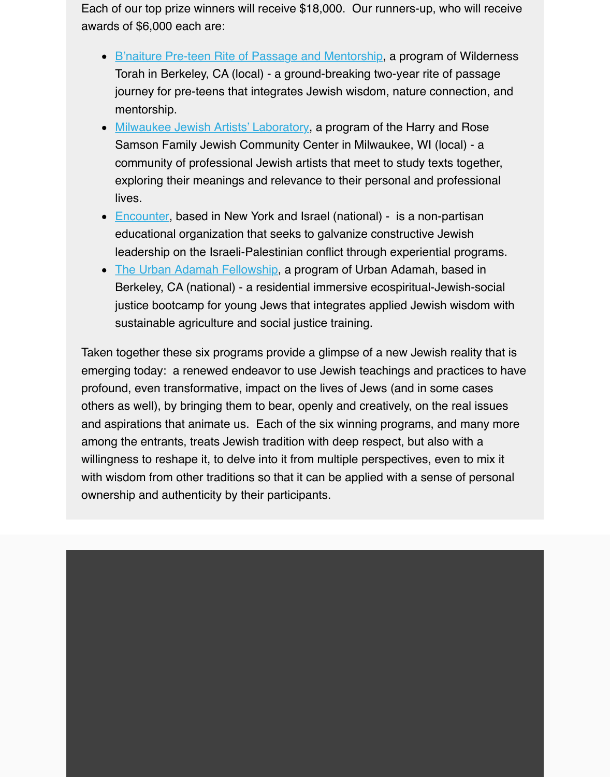- mentorship.
- Milwaukee Jewish Artists' Laboratory, a program of the Harry and Rose Samson Family Jewish Community Center in Milwaukee, WI (local) - a [community of professional Jewish artists that meet](http://lippmankanferprize.org/profile/?profile=bnaiture-pre-teen-rite-of-passage-and-mentorship&entryid=1048) to study texts together, exploring their meanings and relevance to their personal and professional lives.
- Encounter, based in New York and Israel (national) is a non-partisan [educational organization that seeks to](http://lippmankanferprize.org/profile/?profile=milwaukee-jewish-artists-laboratory&entryid=405) galvanize constructive Jewish leadership on the Israeli-Palestinian conflict through experiential programs.
- The Urban Adamah Fellowship, a program of Urban Adamah, based in Berkeley, CA (national) - a residential immersive ecospiritual-Jewish-social justice bootcamp for young Jews that integrates applied Jewish wisdom with [sustainable](http://lippmankanferprize.org/profile/?profile=encounter&entryid=561) agriculture and social justice training.

Taken together these six programs provide a glimpse of a new Jewish reality that is emerg[ing today: a renewed endeavor](http://lippmankanferprize.org/profile/?profile=urban-adamah-fellowship&entryid=1054) to use Jewish teachings and practices to have profound, even transformative, impact on the lives of Jews (and in some cases others as well), by bringing them to bear, openly and creatively, on the real issues and aspirations that animate us. Each of the six winning programs, and many more among the entrants, treats Jewish tradition with deep respect, but also with a willingness to reshape it, to delve into it from multiple perspectives, even to mix it with wisdom from other traditions so that it can be applied with a sense of personal ownership and authenticity by their participants.

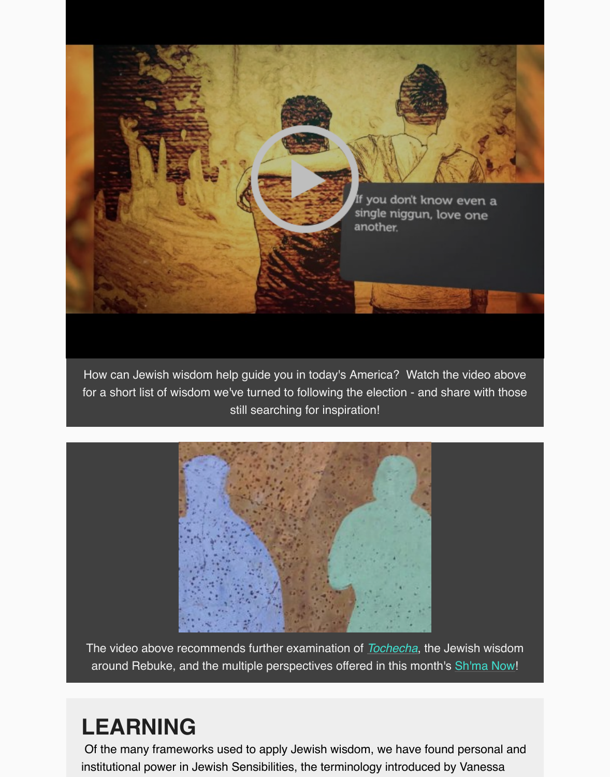

How can Jewish wisdom help guide you in today's America? Watch the video above for a short list of wisdom we've turned to following the election - and share with thos still searching for inspiration!



The video above recommends further examination of *Tochecha*, the Jewish wisdom around Rebuke, and the multiple perspectives offered in this month's Sh'ma Now!

## **LEARNING**

Of the many frameworks used to apply Jewish wisdo[m, we have](http://forward.com/shma-now/) found personal and institutional power in Jewish Sensibilities, the terminology introduced b[y Vanessa](http://forward.com/shma-now/)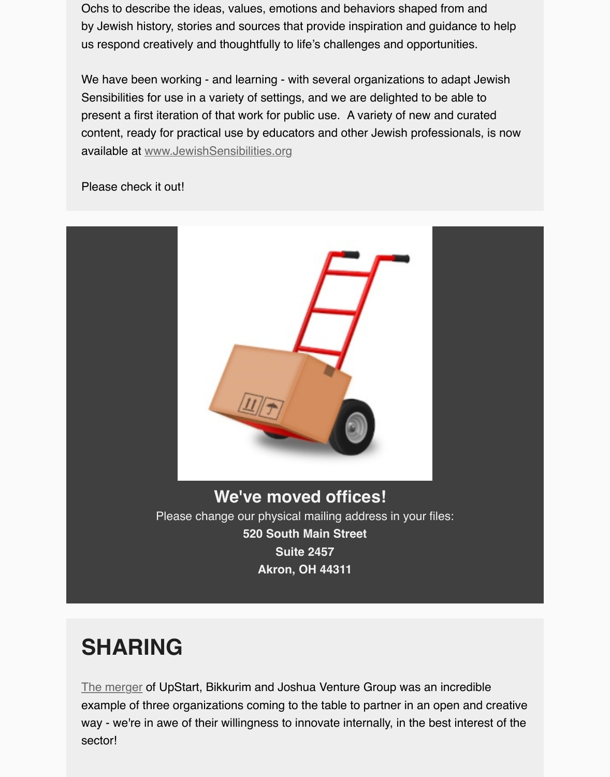present a first iteration of that work for public use. A variety of new and curated content, ready for practical use by educators and other Jewish professionals, is now available at www.JewishSensibilities.org

Please check it out!



## **SHARING**

The merger of UpStart, Bikkurim and Joshua Venture Group was an incredible example of three organizations coming to the table to partner in an open and creative way - we're in awe of their willingness to innovate internally, in the best interest of the sector!